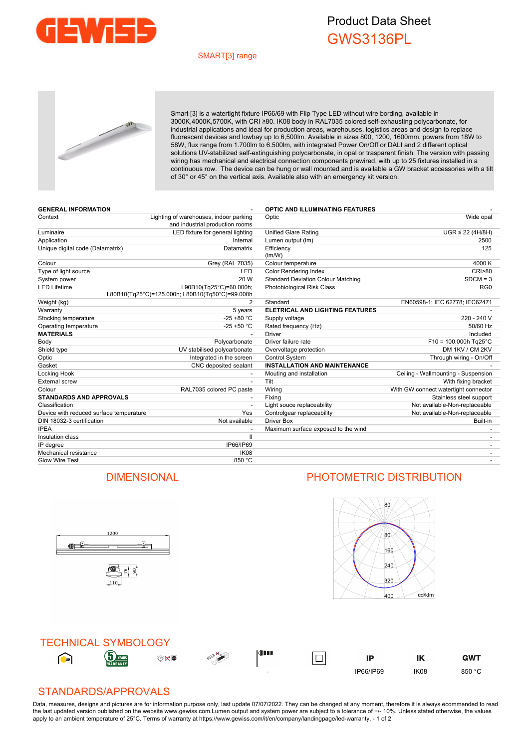

## Product Data Sheet GWS3136PL

## SMART[3] range



Smart [3] is a watertight fixture IP66/69 with Flip Type LED without wire bording, available in 3000K,4000K,5700K, with CRI ≥80. IK08 body in RAL7035 colored self-exhausting polycarbonate, for industrial applications and ideal for production areas, warehouses, logistics areas and design to replace fluorescent devices and lowbay up to 6,500lm. Available in sizes 800, 1200, 1600mm, powers from 18W to 58W, flux range from 1.700lm to 6.500lm, with integrated Power On/Off or DALI and 2 different optical solutions UV-stabilized self-extinguishing polycarbonate, in opal or trasparent finish. The version with passing wiring has mechanical and electrical connection components prewired, with up to 25 fixtures installed in a continuous row. The device can be hung or wall mounted and is available a GW bracket accessories with a tilt of 30° or 45° on the vertical axis. Available also with an emergency kit version.

| <b>GENERAL INFORMATION</b>              |                                                                            | <b>OPTIC AND ILLUMINATING FEATURES</b>    |                                      |
|-----------------------------------------|----------------------------------------------------------------------------|-------------------------------------------|--------------------------------------|
| Context                                 | Lighting of warehouses, indoor parking<br>and industrial production rooms  | Optic                                     | Wide opal                            |
| Luminaire                               | LED fixture for general lighting                                           | <b>Unified Glare Rating</b>               | $UGR \leq 22$ (4H/8H)                |
| Application                             | Internal                                                                   | Lumen output (Im)                         | 2500                                 |
| Unique digital code (Datamatrix)        | Datamatrix                                                                 | Efficiency<br>(lm/W)                      | 125                                  |
| Colour                                  | <b>Grey (RAL 7035)</b>                                                     | Colour temperature                        | 4000 K                               |
| Type of light source                    | LED                                                                        | Color Rendering Index                     | <b>CRI&gt;80</b>                     |
| System power                            | 20 W                                                                       | <b>Standard Deviation Colour Matching</b> | $SDCM = 3$                           |
| <b>LED Lifetime</b>                     | L90B10(Tg25°C)=60.000h;<br>L80B10(Tq25°C)=125.000h; L80B10(Tq50°C)=99.000h | <b>Photobiological Risk Class</b>         | RG <sub>0</sub>                      |
| Weight (kg)                             | 2                                                                          | Standard                                  | EN60598-1; IEC 62778; IEC62471       |
| Warranty                                | 5 years                                                                    | <b>ELETRICAL AND LIGHTING FEATURES</b>    |                                      |
| Stocking temperature                    | $-25 + 80 °C$                                                              | Supply voltage                            | 220 - 240 V                          |
| Operating temperature                   | $-25 + 50 °C$                                                              | Rated frequency (Hz)                      | 50/60 Hz                             |
| <b>MATERIALS</b>                        |                                                                            | <b>Driver</b>                             | Included                             |
| Body                                    | Polycarbonate                                                              | Driver failure rate                       | $F10 = 100.000h$ Tg25°C              |
| Shield type                             | UV stabilised polycarbonate                                                | Overvoltage protection                    | DM 1KV / CM 2KV                      |
| Optic                                   | Integrated in the screen                                                   | Control System                            | Through wiring - On/Off              |
| Gasket                                  | CNC deposited sealant                                                      | <b>INSTALLATION AND MAINTENANCE</b>       |                                      |
| Locking Hook                            |                                                                            | Mouting and installation                  | Ceiling - Wallmounting - Suspension  |
| <b>External screw</b>                   | $\overline{\phantom{a}}$                                                   | Tilt                                      | With fixing bracket                  |
| Colour                                  | RAL7035 colored PC paste                                                   | Wiring                                    | With GW connect watertight connector |
| <b>STANDARDS AND APPROVALS</b>          |                                                                            | Fixing                                    | Stainless steel support              |
| Classification                          |                                                                            | Light souce replaceability                | Not available-Non-replaceable        |
| Device with reduced surface temperature | Yes                                                                        | Controlgear replaceability                | Not available-Non-replaceable        |
| DIN 18032-3 certification               | Not available                                                              | <b>Driver Box</b>                         | Built-in                             |
| <b>IPEA</b>                             |                                                                            | Maximum surface exposed to the wind       |                                      |
| Insulation class                        | $\mathbf{II}$                                                              |                                           |                                      |
| IP degree                               | IP66/IP69                                                                  |                                           |                                      |
| Mechanical resistance                   | <b>IK08</b>                                                                |                                           |                                      |
| <b>Glow Wire Test</b>                   | 850 °C                                                                     |                                           |                                      |

## DIMENSIONAL PHOTOMETRIC DISTRIBUTION

ů.

1200

雪片。

110

<u>ge j</u>





## STANDARDS/APPROVALS

Data, measures, designs and pictures are for information purpose only, last update 07/07/2022. They can be changed at any moment, therefore it is always ecommended to read the last updated version published on the website www.gewiss.com.Lumen output and system power are subject to a tolerance of +/- 10%. Unless stated otherwise, the values apply to an ambient temperature of 25°C. Terms of warranty at https://www.gewiss.com/it/en/company/landingpage/led-warranty. - 1 of 2